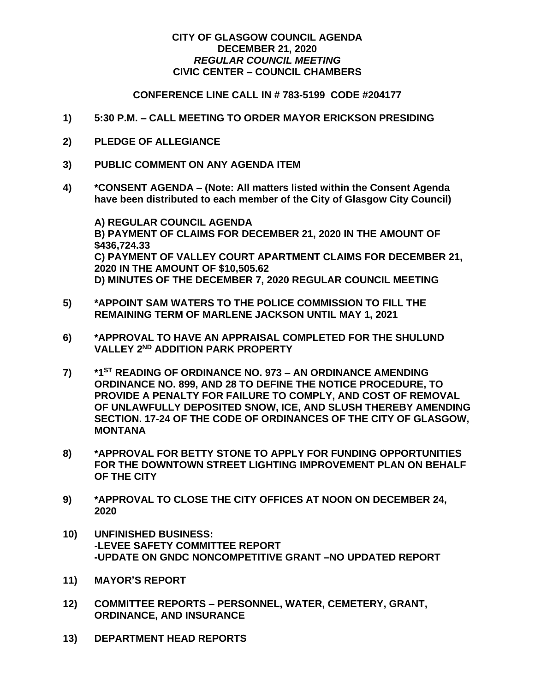## **CITY OF GLASGOW COUNCIL AGENDA DECEMBER 21, 2020** *REGULAR COUNCIL MEETING* **CIVIC CENTER – COUNCIL CHAMBERS**

## **CONFERENCE LINE CALL IN # 783-5199 CODE #204177**

- **1) 5:30 P.M. – CALL MEETING TO ORDER MAYOR ERICKSON PRESIDING**
- **2) PLEDGE OF ALLEGIANCE**
- **3) PUBLIC COMMENT ON ANY AGENDA ITEM**
- **4) \*CONSENT AGENDA – (Note: All matters listed within the Consent Agenda have been distributed to each member of the City of Glasgow City Council)**

**A) REGULAR COUNCIL AGENDA B) PAYMENT OF CLAIMS FOR DECEMBER 21, 2020 IN THE AMOUNT OF \$436,724.33 C) PAYMENT OF VALLEY COURT APARTMENT CLAIMS FOR DECEMBER 21, 2020 IN THE AMOUNT OF \$10,505.62 D) MINUTES OF THE DECEMBER 7, 2020 REGULAR COUNCIL MEETING**

- **5) \*APPOINT SAM WATERS TO THE POLICE COMMISSION TO FILL THE REMAINING TERM OF MARLENE JACKSON UNTIL MAY 1, 2021**
- **6) \*APPROVAL TO HAVE AN APPRAISAL COMPLETED FOR THE SHULUND VALLEY 2ND ADDITION PARK PROPERTY**
- **7) \*1 ST READING OF ORDINANCE NO. 973 – AN ORDINANCE AMENDING ORDINANCE NO. 899, AND 28 TO DEFINE THE NOTICE PROCEDURE, TO PROVIDE A PENALTY FOR FAILURE TO COMPLY, AND COST OF REMOVAL OF UNLAWFULLY DEPOSITED SNOW, ICE, AND SLUSH THEREBY AMENDING SECTION. 17-24 OF THE CODE OF ORDINANCES OF THE CITY OF GLASGOW, MONTANA**
- **8) \*APPROVAL FOR BETTY STONE TO APPLY FOR FUNDING OPPORTUNITIES FOR THE DOWNTOWN STREET LIGHTING IMPROVEMENT PLAN ON BEHALF OF THE CITY**
- **9) \*APPROVAL TO CLOSE THE CITY OFFICES AT NOON ON DECEMBER 24, 2020**
- **10) UNFINISHED BUSINESS: -LEVEE SAFETY COMMITTEE REPORT -UPDATE ON GNDC NONCOMPETITIVE GRANT –NO UPDATED REPORT**
- **11) MAYOR'S REPORT**
- **12) COMMITTEE REPORTS – PERSONNEL, WATER, CEMETERY, GRANT, ORDINANCE, AND INSURANCE**
- **13) DEPARTMENT HEAD REPORTS**